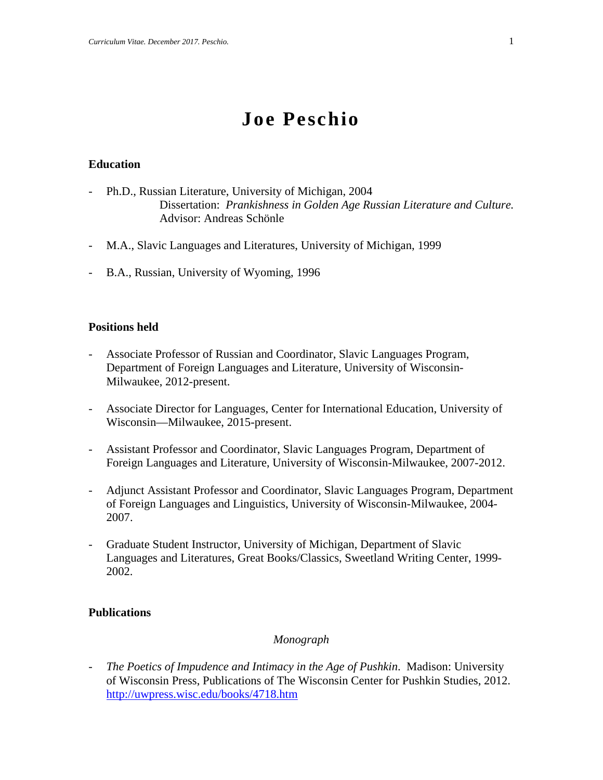# **Joe Peschio**

## **Education**

- Ph.D., Russian Literature, University of Michigan, 2004 Dissertation: *Prankishness in Golden Age Russian Literature and Culture.* Advisor: Andreas Schönle
- M.A., Slavic Languages and Literatures, University of Michigan, 1999
- B.A., Russian, University of Wyoming, 1996

## **Positions held**

- Associate Professor of Russian and Coordinator, Slavic Languages Program, Department of Foreign Languages and Literature, University of Wisconsin-Milwaukee, 2012-present.
- Associate Director for Languages, Center for International Education, University of Wisconsin—Milwaukee, 2015-present.
- Assistant Professor and Coordinator, Slavic Languages Program, Department of Foreign Languages and Literature, University of Wisconsin-Milwaukee, 2007-2012.
- Adjunct Assistant Professor and Coordinator, Slavic Languages Program, Department of Foreign Languages and Linguistics, University of Wisconsin-Milwaukee, 2004- 2007.
- Graduate Student Instructor, University of Michigan, Department of Slavic Languages and Literatures, Great Books/Classics, Sweetland Writing Center, 1999- 2002.

## **Publications**

## *Monograph*

- *The Poetics of Impudence and Intimacy in the Age of Pushkin*. Madison: University of Wisconsin Press, Publications of The Wisconsin Center for Pushkin Studies, 2012. <http://uwpress.wisc.edu/books/4718.htm>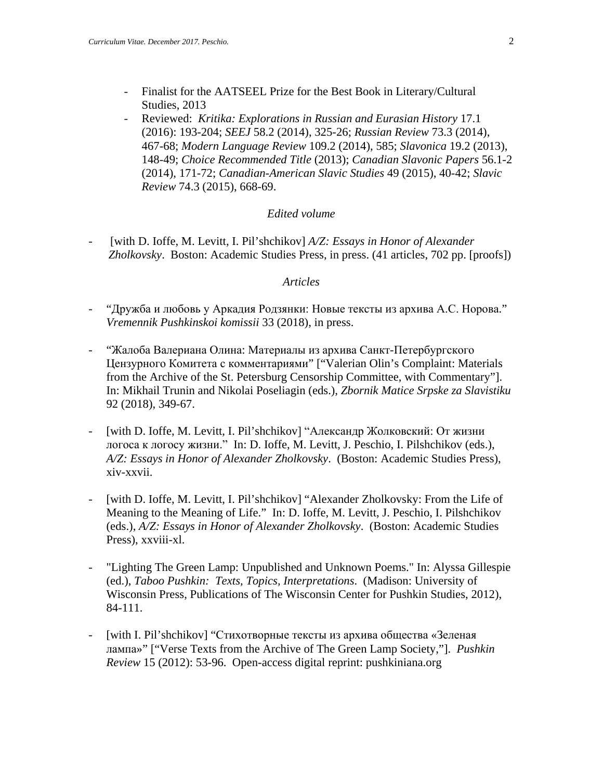- Finalist for the AATSEEL Prize for the Best Book in Literary/Cultural Studies, 2013
- Reviewed: *Kritika: Explorations in Russian and Eurasian History* 17.1 (2016): 193-204; *SEEJ* 58.2 (2014), 325-26; *Russian Review* 73.3 (2014), 467-68; *Modern Language Review* 109.2 (2014), 585; *Slavonica* 19.2 (2013), 148-49; *Choice Recommended Title* (2013); *Canadian Slavonic Papers* 56.1-2 (2014), 171-72; *Canadian-American Slavic Studies* 49 (2015), 40-42; *Slavic Review* 74.3 (2015), 668-69.

## *Edited volume*

[with D. Ioffe, M. Levitt, I. Pil'shchikov] *A/Z: Essays in Honor of Alexander Zholkovsky*. Boston: Academic Studies Press, in press. (41 articles, 702 pp. [proofs])

### *Articles*

- "Дружба и любовь у Аркадия Родзянки: Новые тексты из архива А.С. Норова." *Vremennik Pushkinskoi komissii* 33 (2018), in press.
- "Жалоба Валериана Олина: Материалы из архива Санкт-Петербургского Цензурного Комитета с комментариями" ["Valerian Olin's Complaint: Materials from the Archive of the St. Petersburg Censorship Committee, with Commentary"]. In: Mikhail Trunin and Nikolai Poseliagin (eds.), *Zbornik Matice Srpske za Slavistiku*  92 (2018), 349-67.
- [with D. Ioffe, M. Levitt, I. Pil'shchikov] "Александр Жолковский: От жизни логоса к логосу жизни." In: D. Ioffe, M. Levitt, J. Peschio, I. Pilshchikov (eds.), *A/Z: Essays in Honor of Alexander Zholkovsky*. (Boston: Academic Studies Press), xiv-xxvii.
- [with D. Ioffe, M. Levitt, I. Pil'shchikov] "Alexander Zholkovsky: From the Life of Meaning to the Meaning of Life." In: D. Ioffe, M. Levitt, J. Peschio, I. Pilshchikov (eds.), *A/Z: Essays in Honor of Alexander Zholkovsky*. (Boston: Academic Studies Press), xxviii-xl.
- "Lighting The Green Lamp: Unpublished and Unknown Poems." In: Alyssa Gillespie (ed.), *Taboo Pushkin: Texts, Topics, Interpretations*. (Madison: University of Wisconsin Press, Publications of The Wisconsin Center for Pushkin Studies, 2012), 84-111.
- [with I. Pil'shchikov] "Стихотворные тексты из архива общества «Зеленая лампа»" ["Verse Texts from the Archive of The Green Lamp Society,"]. *Pushkin Review* 15 (2012): 53-96. Open-access digital reprint: pushkiniana.org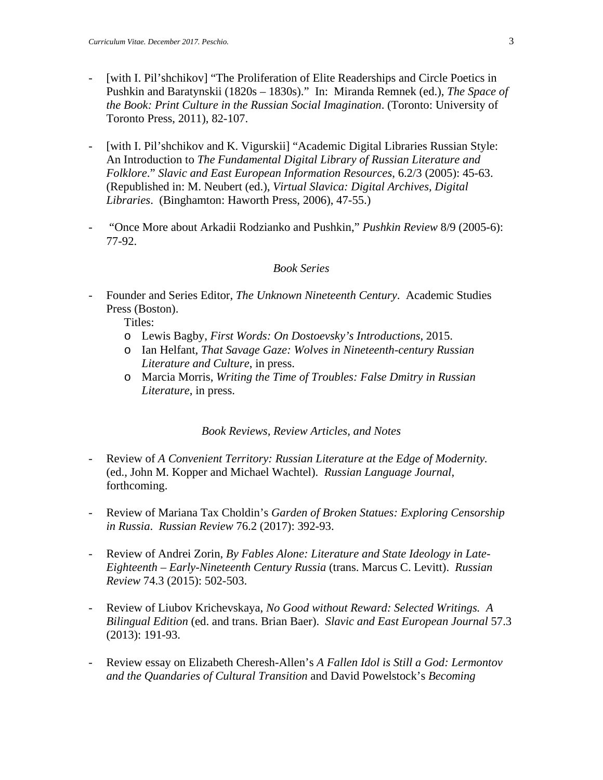- [with I. Pil'shchikov] "The Proliferation of Elite Readerships and Circle Poetics in Pushkin and Baratynskii (1820s – 1830s)." In: Miranda Remnek (ed.), *The Space of the Book: Print Culture in the Russian Social Imagination*. (Toronto: University of Toronto Press, 2011), 82-107.
- [with I. Pil'shchikov and K. Vigurskii] "Academic Digital Libraries Russian Style: An Introduction to *The Fundamental Digital Library of Russian Literature and Folklore*." *Slavic and East European Information Resources*, 6.2/3 (2005): 45-63. (Republished in: M. Neubert (ed.), *Virtual Slavica: Digital Archives, Digital Libraries*. (Binghamton: Haworth Press, 2006), 47-55.)
- "Once More about Arkadii Rodzianko and Pushkin," *Pushkin Review* 8/9 (2005-6): 77-92.

## *Book Series*

- Founder and Series Editor, *The Unknown Nineteenth Century*. Academic Studies Press (Boston).
	- Titles:
	- o Lewis Bagby, *First Words: On Dostoevsky's Introductions*, 2015.
	- o Ian Helfant, *That Savage Gaze: Wolves in Nineteenth-century Russian Literature and Culture*, in press.
	- o Marcia Morris, *Writing the Time of Troubles: False Dmitry in Russian Literature*, in press.

## *Book Reviews, Review Articles, and Notes*

- Review of *A Convenient Territory: Russian Literature at the Edge of Modernity.*  (ed., John M. Kopper and Michael Wachtel). *Russian Language Journal*, forthcoming.
- Review of Mariana Tax Choldin's *Garden of Broken Statues: Exploring Censorship in Russia*. *Russian Review* 76.2 (2017): 392-93.
- Review of Andrei Zorin, *By Fables Alone: Literature and State Ideology in Late-Eighteenth – Early-Nineteenth Century Russia* (trans. Marcus C. Levitt). *Russian Review* 74.3 (2015): 502-503.
- Review of Liubov Krichevskaya, *No Good without Reward: Selected Writings. A Bilingual Edition* (ed. and trans. Brian Baer). *Slavic and East European Journal* 57.3 (2013): 191-93.
- Review essay on Elizabeth Cheresh-Allen's *A Fallen Idol is Still a God: Lermontov and the Quandaries of Cultural Transition* and David Powelstock's *Becoming*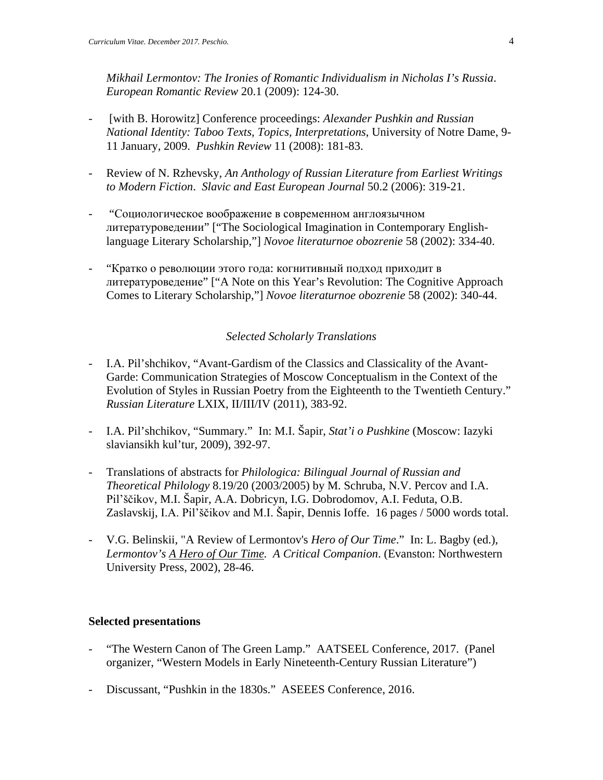*Mikhail Lermontov: The Ironies of Romantic Individualism in Nicholas I's Russia*. *European Romantic Review* 20.1 (2009): 124-30.

- [with B. Horowitz] Conference proceedings: *Alexander Pushkin and Russian National Identity: Taboo Texts, Topics, Interpretations*, University of Notre Dame, 9- 11 January, 2009. *Pushkin Review* 11 (2008): 181-83.
- Review of N. Rzhevsky, *An Anthology of Russian Literature from Earliest Writings to Modern Fiction*. *Slavic and East European Journal* 50.2 (2006): 319-21.
- "Социологическое воображение в современном англоязычном литературоведении" ["The Sociological Imagination in Contemporary Englishlanguage Literary Scholarship,"] *Novoe literaturnoe obozrenie* 58 (2002): 334-40.
- "Кратко о революции этого года: когнитивный подход приходит в литературоведение" ["A Note on this Year's Revolution: The Cognitive Approach Comes to Literary Scholarship,"] *Novoe literaturnoe obozrenie* 58 (2002): 340-44.

## *Selected Scholarly Translations*

- I.A. Pil'shchikov, "Avant-Gardism of the Classics and Classicality of the Avant-Garde: Communication Strategies of Moscow Conceptualism in the Context of the Evolution of Styles in Russian Poetry from the Eighteenth to the Twentieth Century." *Russian Literature* LXIX, II/III/IV (2011), 383-92.
- I.A. Pil'shchikov, "Summary." In: M.I. Šapir, *Stat'i o Pushkine* (Moscow: Iazyki slaviansikh kul'tur, 2009), 392-97.
- Translations of abstracts for *Philologica: Bilingual Journal of Russian and Theoretical Philology* 8.19/20 (2003/2005) by M. Schruba, N.V. Percov and I.A. Pil'ščikov, M.I. Šapir, A.A. Dobricyn, I.G. Dobrodomov, A.I. Feduta, O.B. Zaslavskij, I.A. Pil'ščikov and M.I. Šapir, Dennis Ioffe. 16 pages / 5000 words total.
- V.G. Belinskii, "A Review of Lermontov's *Hero of Our Time*." In: L. Bagby (ed.), *Lermontov's A Hero of Our Time. A Critical Companion*. (Evanston: Northwestern University Press, 2002), 28-46.

#### **Selected presentations**

- "The Western Canon of The Green Lamp." AATSEEL Conference, 2017. (Panel organizer, "Western Models in Early Nineteenth-Century Russian Literature")
- Discussant, "Pushkin in the 1830s." ASEEES Conference, 2016.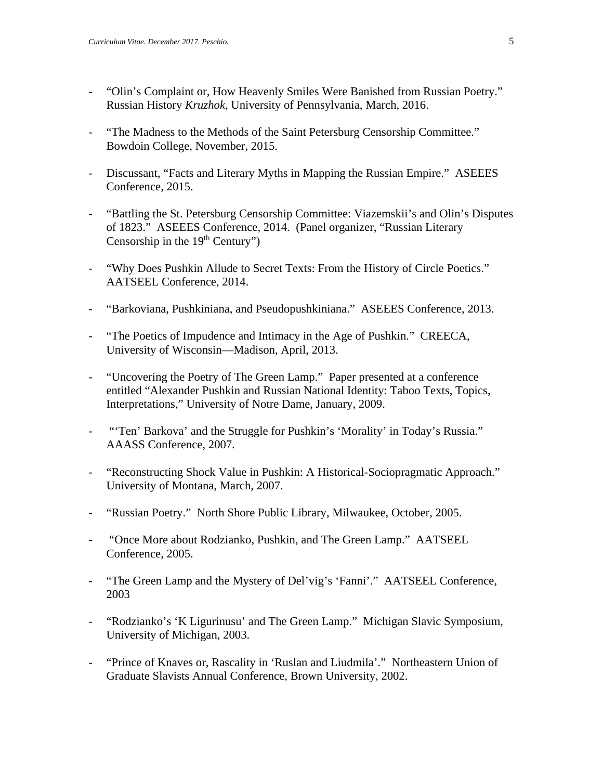- "Olin's Complaint or, How Heavenly Smiles Were Banished from Russian Poetry." Russian History *Kruzhok*, University of Pennsylvania, March, 2016.
- "The Madness to the Methods of the Saint Petersburg Censorship Committee." Bowdoin College, November, 2015.
- Discussant, "Facts and Literary Myths in Mapping the Russian Empire." ASEEES Conference, 2015.
- "Battling the St. Petersburg Censorship Committee: Viazemskii's and Olin's Disputes of 1823." ASEEES Conference, 2014. (Panel organizer, "Russian Literary Censorship in the  $19<sup>th</sup>$  Century")
- "Why Does Pushkin Allude to Secret Texts: From the History of Circle Poetics." AATSEEL Conference, 2014.
- "Barkoviana, Pushkiniana, and Pseudopushkiniana." ASEEES Conference, 2013.
- "The Poetics of Impudence and Intimacy in the Age of Pushkin." CREECA, University of Wisconsin—Madison, April, 2013.
- "Uncovering the Poetry of The Green Lamp." Paper presented at a conference entitled "Alexander Pushkin and Russian National Identity: Taboo Texts, Topics, Interpretations," University of Notre Dame, January, 2009.
- "'Ten' Barkova' and the Struggle for Pushkin's 'Morality' in Today's Russia." AAASS Conference, 2007.
- "Reconstructing Shock Value in Pushkin: A Historical-Sociopragmatic Approach." University of Montana, March, 2007.
- "Russian Poetry." North Shore Public Library, Milwaukee, October, 2005.
- "Once More about Rodzianko, Pushkin, and The Green Lamp." AATSEEL Conference, 2005.
- "The Green Lamp and the Mystery of Del'vig's 'Fanni'." AATSEEL Conference, 2003
- "Rodzianko's 'K Ligurinusu' and The Green Lamp." Michigan Slavic Symposium, University of Michigan, 2003.
- "Prince of Knaves or, Rascality in 'Ruslan and Liudmila'." Northeastern Union of Graduate Slavists Annual Conference, Brown University, 2002.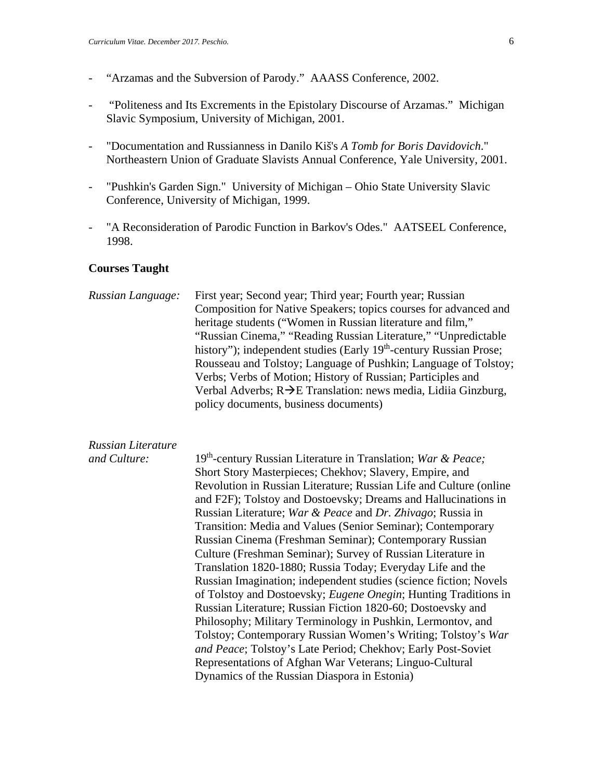- "Arzamas and the Subversion of Parody." AAASS Conference, 2002.
- "Politeness and Its Excrements in the Epistolary Discourse of Arzamas." Michigan Slavic Symposium, University of Michigan, 2001.
- "Documentation and Russianness in Danilo Kiš's *A Tomb for Boris Davidovich*." Northeastern Union of Graduate Slavists Annual Conference, Yale University, 2001.
- "Pushkin's Garden Sign." University of Michigan Ohio State University Slavic Conference, University of Michigan, 1999.
- "A Reconsideration of Parodic Function in Barkov's Odes." AATSEEL Conference, 1998.

#### **Courses Taught**

*Russian Language:* First year; Second year; Third year; Fourth year; Russian Composition for Native Speakers; topics courses for advanced and heritage students ("Women in Russian literature and film," "Russian Cinema," "Reading Russian Literature," "Unpredictable history"); independent studies (Early 19<sup>th</sup>-century Russian Prose; Rousseau and Tolstoy; Language of Pushkin; Language of Tolstoy; Verbs; Verbs of Motion; History of Russian; Participles and Verbal Adverbs;  $R\rightarrow E$  Translation: news media, Lidiia Ginzburg, policy documents, business documents)

# *Russian Literature*

*and Culture:* 19th-century Russian Literature in Translation; *War & Peace;*  Short Story Masterpieces; Chekhov; Slavery, Empire, and Revolution in Russian Literature; Russian Life and Culture (online and F2F); Tolstoy and Dostoevsky; Dreams and Hallucinations in Russian Literature; *War & Peace* and *Dr. Zhivago*; Russia in Transition: Media and Values (Senior Seminar); Contemporary Russian Cinema (Freshman Seminar); Contemporary Russian Culture (Freshman Seminar); Survey of Russian Literature in Translation 1820-1880; Russia Today; Everyday Life and the Russian Imagination; independent studies (science fiction; Novels of Tolstoy and Dostoevsky; *Eugene Onegin*; Hunting Traditions in Russian Literature; Russian Fiction 1820-60; Dostoevsky and Philosophy; Military Terminology in Pushkin, Lermontov, and Tolstoy; Contemporary Russian Women's Writing; Tolstoy's *War and Peace*; Tolstoy's Late Period; Chekhov; Early Post-Soviet Representations of Afghan War Veterans; Linguo-Cultural Dynamics of the Russian Diaspora in Estonia)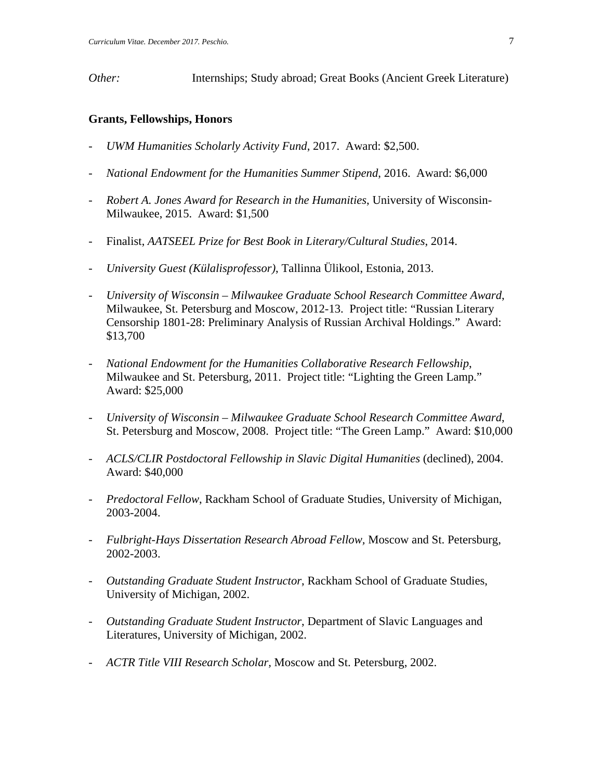*Other:* Internships; Study abroad; Great Books (Ancient Greek Literature)

## **Grants, Fellowships, Honors**

- *UWM Humanities Scholarly Activity Fund*, 2017. Award: \$2,500.
- *National Endowment for the Humanities Summer Stipend*, 2016. Award: \$6,000
- *Robert A. Jones Award for Research in the Humanities*, University of Wisconsin-Milwaukee, 2015. Award: \$1,500
- Finalist, *AATSEEL Prize for Best Book in Literary/Cultural Studies*, 2014.
- *University Guest (Külalisprofessor)*, Tallinna Ülikool, Estonia, 2013.
- *University of Wisconsin – Milwaukee Graduate School Research Committee Award*, Milwaukee, St. Petersburg and Moscow, 2012-13. Project title: "Russian Literary Censorship 1801-28: Preliminary Analysis of Russian Archival Holdings." Award: \$13,700
- *National Endowment for the Humanities Collaborative Research Fellowship*, Milwaukee and St. Petersburg, 2011. Project title: "Lighting the Green Lamp." Award: \$25,000
- *University of Wisconsin – Milwaukee Graduate School Research Committee Award*, St. Petersburg and Moscow, 2008. Project title: "The Green Lamp." Award: \$10,000
- *ACLS/CLIR Postdoctoral Fellowship in Slavic Digital Humanities* (declined), 2004. Award: \$40,000
- *Predoctoral Fellow*, Rackham School of Graduate Studies, University of Michigan, 2003-2004.
- *Fulbright-Hays Dissertation Research Abroad Fellow,* Moscow and St. Petersburg, 2002-2003.
- *Outstanding Graduate Student Instructor*, Rackham School of Graduate Studies, University of Michigan, 2002.
- *Outstanding Graduate Student Instructor*, Department of Slavic Languages and Literatures, University of Michigan, 2002.
- *ACTR Title VIII Research Scholar,* Moscow and St. Petersburg, 2002.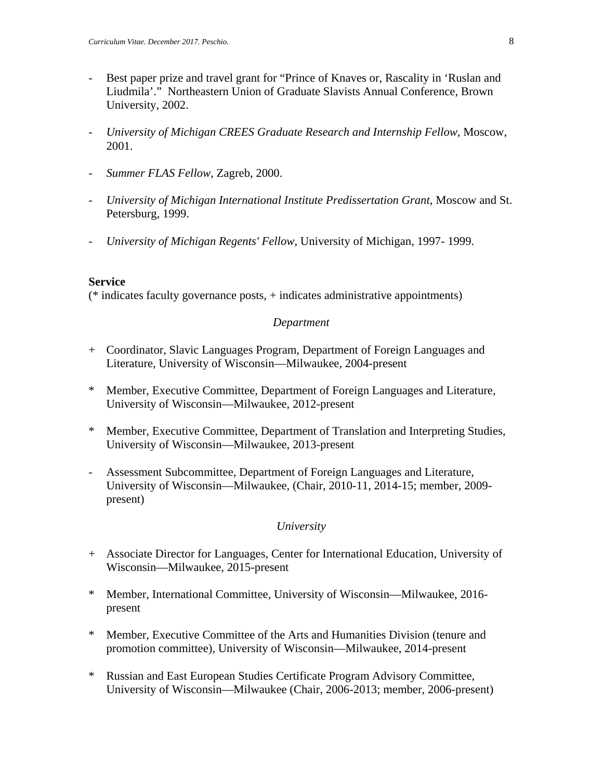- Best paper prize and travel grant for "Prince of Knaves or, Rascality in 'Ruslan and Liudmila'." Northeastern Union of Graduate Slavists Annual Conference, Brown University, 2002.
- *University of Michigan CREES Graduate Research and Internship Fellow*, Moscow, 2001.
- *Summer FLAS Fellow*, Zagreb, 2000.
- *University of Michigan International Institute Predissertation Grant*, Moscow and St. Petersburg, 1999.
- *University of Michigan Regents' Fellow*, University of Michigan, 1997- 1999.

## **Service**

(\* indicates faculty governance posts, + indicates administrative appointments)

## *Department*

- + Coordinator, Slavic Languages Program, Department of Foreign Languages and Literature, University of Wisconsin—Milwaukee, 2004-present
- \* Member, Executive Committee, Department of Foreign Languages and Literature, University of Wisconsin—Milwaukee, 2012-present
- \* Member, Executive Committee, Department of Translation and Interpreting Studies, University of Wisconsin—Milwaukee, 2013-present
- Assessment Subcommittee, Department of Foreign Languages and Literature, University of Wisconsin—Milwaukee, (Chair, 2010-11, 2014-15; member, 2009 present)

## *University*

- + Associate Director for Languages, Center for International Education, University of Wisconsin—Milwaukee, 2015-present
- \* Member, International Committee, University of Wisconsin—Milwaukee, 2016 present
- \* Member, Executive Committee of the Arts and Humanities Division (tenure and promotion committee), University of Wisconsin—Milwaukee, 2014-present
- \* Russian and East European Studies Certificate Program Advisory Committee, University of Wisconsin—Milwaukee (Chair, 2006-2013; member, 2006-present)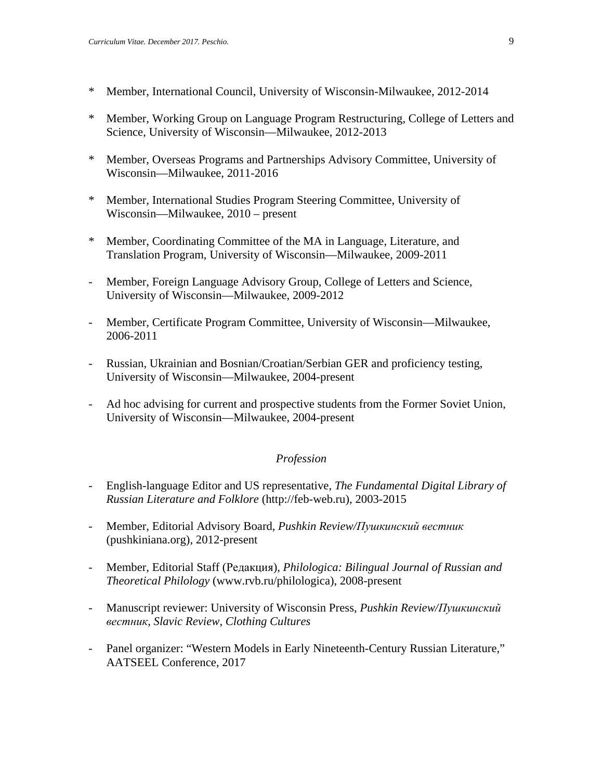- \* Member, International Council, University of Wisconsin-Milwaukee, 2012-2014
- \* Member, Working Group on Language Program Restructuring, College of Letters and Science, University of Wisconsin—Milwaukee, 2012-2013
- \* Member, Overseas Programs and Partnerships Advisory Committee, University of Wisconsin—Milwaukee, 2011-2016
- \* Member, International Studies Program Steering Committee, University of Wisconsin—Milwaukee, 2010 – present
- \* Member, Coordinating Committee of the MA in Language, Literature, and Translation Program, University of Wisconsin—Milwaukee, 2009-2011
- Member, Foreign Language Advisory Group, College of Letters and Science, University of Wisconsin—Milwaukee, 2009-2012
- Member, Certificate Program Committee, University of Wisconsin—Milwaukee, 2006-2011
- Russian, Ukrainian and Bosnian/Croatian/Serbian GER and proficiency testing, University of Wisconsin—Milwaukee, 2004-present
- Ad hoc advising for current and prospective students from the Former Soviet Union, University of Wisconsin—Milwaukee, 2004-present

## *Profession*

- English-language Editor and US representative, *The Fundamental Digital Library of Russian Literature and Folklore* (http://feb-web.ru), 2003-2015
- Member, Editorial Advisory Board, *Pushkin Review/Пушкинский вестник* (pushkiniana.org), 2012-present
- Member, Editorial Staff (Редакция), *Philologica: Bilingual Journal of Russian and Theoretical Philology* (www.rvb.ru/philologica), 2008-present
- Manuscript reviewer: University of Wisconsin Press, *Pushkin Review/Пушкинский вестник*, *Slavic Review*, *Clothing Cultures*
- Panel organizer: "Western Models in Early Nineteenth-Century Russian Literature," AATSEEL Conference, 2017